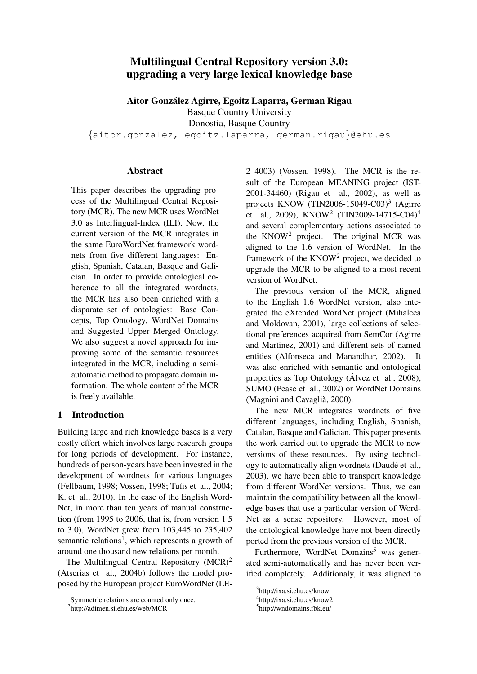# Multilingual Central Repository version 3.0: upgrading a very large lexical knowledge base

Aitor Gonzalez Agirre, Egoitz Laparra, German Rigau ´

Basque Country University

Donostia, Basque Country

{aitor.gonzalez, egoitz.laparra, german.rigau}@ehu.es

#### Abstract

This paper describes the upgrading process of the Multilingual Central Repository (MCR). The new MCR uses WordNet 3.0 as Interlingual-Index (ILI). Now, the current version of the MCR integrates in the same EuroWordNet framework wordnets from five different languages: English, Spanish, Catalan, Basque and Galician. In order to provide ontological coherence to all the integrated wordnets, the MCR has also been enriched with a disparate set of ontologies: Base Concepts, Top Ontology, WordNet Domains and Suggested Upper Merged Ontology. We also suggest a novel approach for improving some of the semantic resources integrated in the MCR, including a semiautomatic method to propagate domain information. The whole content of the MCR is freely available.

## 1 Introduction

Building large and rich knowledge bases is a very costly effort which involves large research groups for long periods of development. For instance, hundreds of person-years have been invested in the development of wordnets for various languages (Fellbaum, 1998; Vossen, 1998; Tufis et al., 2004; K. et al., 2010). In the case of the English Word-Net, in more than ten years of manual construction (from 1995 to 2006, that is, from version 1.5 to 3.0), WordNet grew from 103,445 to 235,402 semantic relations<sup>1</sup>, which represents a growth of around one thousand new relations per month.

The Multilingual Central Repository  $(MCR)^2$ (Atserias et al., 2004b) follows the model proposed by the European project EuroWordNet (LE- 2 4003) (Vossen, 1998). The MCR is the result of the European MEANING project (IST-2001-34460) (Rigau et al., 2002), as well as projects KNOW (TIN2006-15049-C03)<sup>3</sup> (Agirre et al., 2009), KNOW<sup>2</sup> (TIN2009-14715-C04)<sup>4</sup> and several complementary actions associated to the KNOW<sup>2</sup> project. The original MCR was aligned to the 1.6 version of WordNet. In the framework of the KNOW<sup>2</sup> project, we decided to upgrade the MCR to be aligned to a most recent version of WordNet.

The previous version of the MCR, aligned to the English 1.6 WordNet version, also integrated the eXtended WordNet project (Mihalcea and Moldovan, 2001), large collections of selectional preferences acquired from SemCor (Agirre and Martinez, 2001) and different sets of named entities (Alfonseca and Manandhar, 2002). It was also enriched with semantic and ontological properties as Top Ontology (Álvez et al., 2008), SUMO (Pease et al., 2002) or WordNet Domains (Magnini and Cavaglià, 2000).

The new MCR integrates wordnets of five different languages, including English, Spanish, Catalan, Basque and Galician. This paper presents the work carried out to upgrade the MCR to new versions of these resources. By using technology to automatically align wordnets (Daudé et al., 2003), we have been able to transport knowledge from different WordNet versions. Thus, we can maintain the compatibility between all the knowledge bases that use a particular version of Word-Net as a sense repository. However, most of the ontological knowledge have not been directly ported from the previous version of the MCR.

Furthermore, WordNet Domains<sup>5</sup> was generated semi-automatically and has never been verified completely. Additionaly, it was aligned to

<sup>1</sup> Symmetric relations are counted only once.

<sup>2</sup> http://adimen.si.ehu.es/web/MCR

<sup>3</sup> http://ixa.si.ehu.es/know

<sup>4</sup> http://ixa.si.ehu.es/know2

<sup>5</sup> http://wndomains.fbk.eu/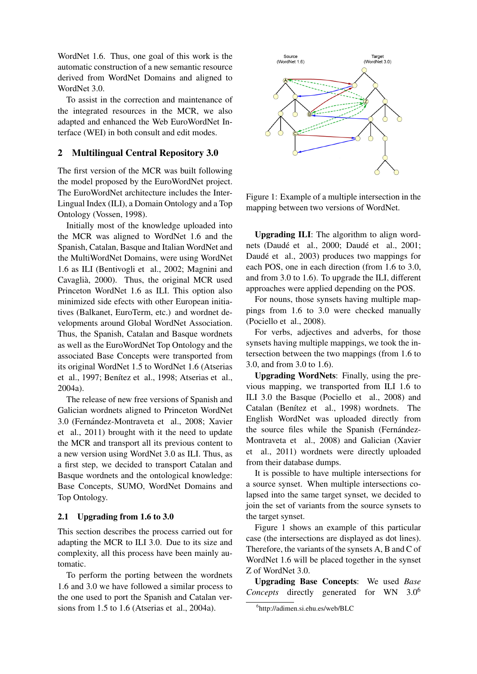WordNet 1.6. Thus, one goal of this work is the automatic construction of a new semantic resource derived from WordNet Domains and aligned to WordNet 3.0.

To assist in the correction and maintenance of the integrated resources in the MCR, we also adapted and enhanced the Web EuroWordNet Interface (WEI) in both consult and edit modes.

## 2 Multilingual Central Repository 3.0

The first version of the MCR was built following the model proposed by the EuroWordNet project. The EuroWordNet architecture includes the Inter-Lingual Index (ILI), a Domain Ontology and a Top Ontology (Vossen, 1998).

Initially most of the knowledge uploaded into the MCR was aligned to WordNet 1.6 and the Spanish, Catalan, Basque and Italian WordNet and the MultiWordNet Domains, were using WordNet 1.6 as ILI (Bentivogli et al., 2002; Magnini and Cavaglia, 2000). Thus, the original MCR used ` Princeton WordNet 1.6 as ILI. This option also minimized side efects with other European initiatives (Balkanet, EuroTerm, etc.) and wordnet developments around Global WordNet Association. Thus, the Spanish, Catalan and Basque wordnets as well as the EuroWordNet Top Ontology and the associated Base Concepts were transported from its original WordNet 1.5 to WordNet 1.6 (Atserias et al., 1997; Benítez et al., 1998; Atserias et al., 2004a).

The release of new free versions of Spanish and Galician wordnets aligned to Princeton WordNet 3.0 (Fernandez-Montraveta et al., 2008; Xavier ´ et al., 2011) brought with it the need to update the MCR and transport all its previous content to a new version using WordNet 3.0 as ILI. Thus, as a first step, we decided to transport Catalan and Basque wordnets and the ontological knowledge: Base Concepts, SUMO, WordNet Domains and Top Ontology.

### 2.1 Upgrading from 1.6 to 3.0

This section describes the process carried out for adapting the MCR to ILI 3.0. Due to its size and complexity, all this process have been mainly automatic.

To perform the porting between the wordnets 1.6 and 3.0 we have followed a similar process to the one used to port the Spanish and Catalan versions from 1.5 to 1.6 (Atserias et al., 2004a).



Figure 1: Example of a multiple intersection in the mapping between two versions of WordNet.

Upgrading ILI: The algorithm to align wordnets (Daudé et al., 2000; Daudé et al., 2001; Daudé et al., 2003) produces two mappings for each POS, one in each direction (from 1.6 to 3.0, and from 3.0 to 1.6). To upgrade the ILI, different approaches were applied depending on the POS.

For nouns, those synsets having multiple mappings from 1.6 to 3.0 were checked manually (Pociello et al., 2008).

For verbs, adjectives and adverbs, for those synsets having multiple mappings, we took the intersection between the two mappings (from 1.6 to 3.0, and from 3.0 to 1.6).

Upgrading WordNets: Finally, using the previous mapping, we transported from ILI 1.6 to ILI 3.0 the Basque (Pociello et al., 2008) and Catalan (Benítez et al., 1998) wordnets. The English WordNet was uploaded directly from the source files while the Spanish (Fernández-Montraveta et al., 2008) and Galician (Xavier et al., 2011) wordnets were directly uploaded from their database dumps.

It is possible to have multiple intersections for a source synset. When multiple intersections colapsed into the same target synset, we decided to join the set of variants from the source synsets to the target synset.

Figure 1 shows an example of this particular case (the intersections are displayed as dot lines). Therefore, the variants of the synsets A, B and C of WordNet 1.6 will be placed together in the synset Z of WordNet 3.0.

Upgrading Base Concepts: We used *Base Concepts* directly generated for WN 3.0<sup>6</sup>

<sup>6</sup> http://adimen.si.ehu.es/web/BLC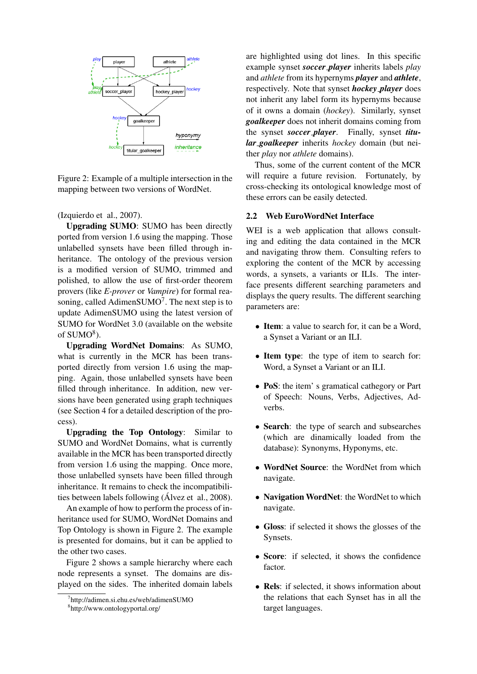

Figure 2: Example of a multiple intersection in the mapping between two versions of WordNet.

(Izquierdo et al., 2007).

Upgrading SUMO: SUMO has been directly ported from version 1.6 using the mapping. Those unlabelled synsets have been filled through inheritance. The ontology of the previous version is a modified version of SUMO, trimmed and polished, to allow the use of first-order theorem provers (like *E-prover* or *Vampire*) for formal reasoning, called AdimenSUMO<sup>7</sup>. The next step is to update AdimenSUMO using the latest version of SUMO for WordNet 3.0 (available on the website of  $SUMO<sup>8</sup>$ ).

Upgrading WordNet Domains: As SUMO, what is currently in the MCR has been transported directly from version 1.6 using the mapping. Again, those unlabelled synsets have been filled through inheritance. In addition, new versions have been generated using graph techniques (see Section 4 for a detailed description of the process).

Upgrading the Top Ontology: Similar to SUMO and WordNet Domains, what is currently available in the MCR has been transported directly from version 1.6 using the mapping. Once more, those unlabelled synsets have been filled through inheritance. It remains to check the incompatibilities between labels following (Álvez et al., 2008).

An example of how to perform the process of inheritance used for SUMO, WordNet Domains and Top Ontology is shown in Figure 2. The example is presented for domains, but it can be applied to the other two cases.

Figure 2 shows a sample hierarchy where each node represents a synset. The domains are displayed on the sides. The inherited domain labels

7 http://adimen.si.ehu.es/web/adimenSUMO

are highlighted using dot lines. In this specific example synset *soccer player* inherits labels *play* and *athlete* from its hypernyms *player* and *athlete*, respectively. Note that synset *hockey player* does not inherit any label form its hypernyms because of it owns a domain (*hockey*). Similarly, synset *goalkeeper* does not inherit domains coming from the synset *soccer player*. Finally, synset *titular goalkeeper* inherits *hockey* domain (but neither *play* nor *athlete* domains).

Thus, some of the current content of the MCR will require a future revision. Fortunately, by cross-checking its ontological knowledge most of these errors can be easily detected.

### 2.2 Web EuroWordNet Interface

WEI is a web application that allows consulting and editing the data contained in the MCR and navigating throw them. Consulting refers to exploring the content of the MCR by accessing words, a synsets, a variants or ILIs. The interface presents different searching parameters and displays the query results. The different searching parameters are:

- Item: a value to search for, it can be a Word, a Synset a Variant or an ILI.
- Item type: the type of item to search for: Word, a Synset a Variant or an ILI.
- **PoS**: the item's gramatical cathegory or Part of Speech: Nouns, Verbs, Adjectives, Adverbs.
- Search: the type of search and subsearches (which are dinamically loaded from the database): Synonyms, Hyponyms, etc.
- WordNet Source: the WordNet from which navigate.
- Navigation WordNet: the WordNet to which navigate.
- Gloss: if selected it shows the glosses of the Synsets.
- Score: if selected, it shows the confidence factor.
- Rels: if selected, it shows information about the relations that each Synset has in all the target languages.

<sup>8</sup> http://www.ontologyportal.org/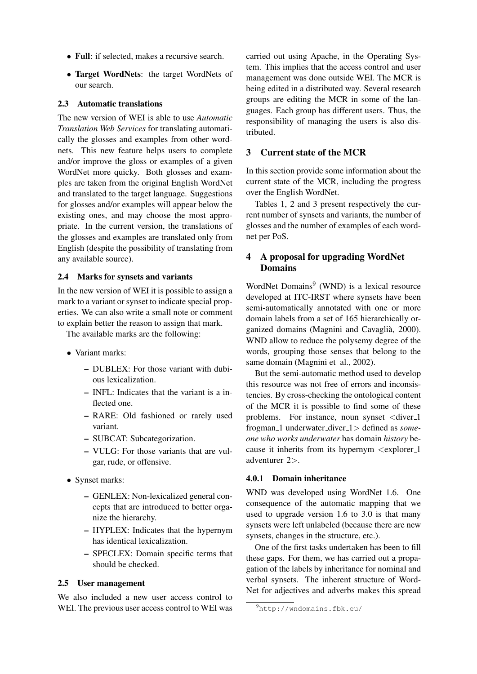- Full: if selected, makes a recursive search.
- Target WordNets: the target WordNets of our search.

#### 2.3 Automatic translations

The new version of WEI is able to use *Automatic Translation Web Services* for translating automatically the glosses and examples from other wordnets. This new feature helps users to complete and/or improve the gloss or examples of a given WordNet more quicky. Both glosses and examples are taken from the original English WordNet and translated to the target language. Suggestions for glosses and/or examples will appear below the existing ones, and may choose the most appropriate. In the current version, the translations of the glosses and examples are translated only from English (despite the possibility of translating from any available source).

#### 2.4 Marks for synsets and variants

In the new version of WEI it is possible to assign a mark to a variant or synset to indicate special properties. We can also write a small note or comment to explain better the reason to assign that mark.

The available marks are the following:

- Variant marks:
	- DUBLEX: For those variant with dubious lexicalization.
	- INFL: Indicates that the variant is a inflected one.
	- RARE: Old fashioned or rarely used variant.
	- SUBCAT: Subcategorization.
	- VULG: For those variants that are vulgar, rude, or offensive.
- Synset marks:
	- GENLEX: Non-lexicalized general concepts that are introduced to better organize the hierarchy.
	- HYPLEX: Indicates that the hypernym has identical lexicalization.
	- SPECLEX: Domain specific terms that should be checked.

### 2.5 User management

We also included a new user access control to WEI. The previous user access control to WEI was

carried out using Apache, in the Operating System. This implies that the access control and user management was done outside WEI. The MCR is being edited in a distributed way. Several research groups are editing the MCR in some of the languages. Each group has different users. Thus, the responsibility of managing the users is also distributed.

### 3 Current state of the MCR

In this section provide some information about the current state of the MCR, including the progress over the English WordNet.

Tables 1, 2 and 3 present respectively the current number of synsets and variants, the number of glosses and the number of examples of each wordnet per PoS.

# 4 A proposal for upgrading WordNet Domains

WordNet Domains<sup>9</sup> (WND) is a lexical resource developed at ITC-IRST where synsets have been semi-automatically annotated with one or more domain labels from a set of 165 hierarchically organized domains (Magnini and Cavaglia, 2000). ` WND allow to reduce the polysemy degree of the words, grouping those senses that belong to the same domain (Magnini et al., 2002).

But the semi-automatic method used to develop this resource was not free of errors and inconsistencies. By cross-checking the ontological content of the MCR it is possible to find some of these problems. For instance, noun synset <diver 1 frogman 1 underwater diver 1> defined as *someone who works underwater* has domain *history* because it inherits from its hypernym <explorer\_1 adventurer 2>.

### 4.0.1 Domain inheritance

WND was developed using WordNet 1.6. One consequence of the automatic mapping that we used to upgrade version 1.6 to 3.0 is that many synsets were left unlabeled (because there are new synsets, changes in the structure, etc.).

One of the first tasks undertaken has been to fill these gaps. For them, we has carried out a propagation of the labels by inheritance for nominal and verbal synsets. The inherent structure of Word-Net for adjectives and adverbs makes this spread

<sup>9</sup>http://wndomains.fbk.eu/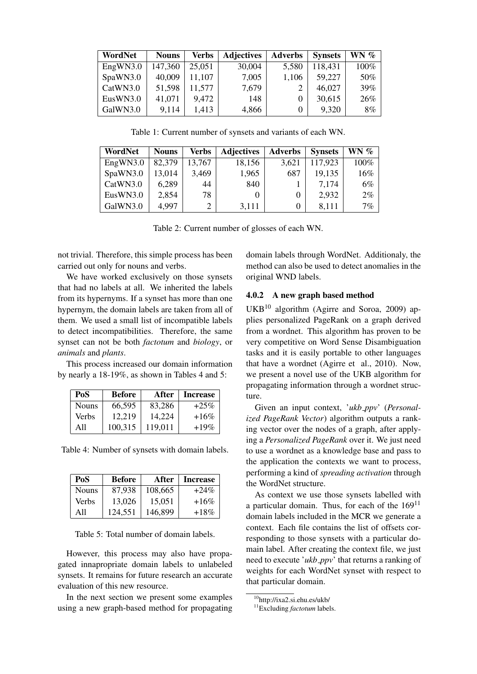| WordNet  | <b>Nouns</b> | Verbs  | <b>Adjectives</b> | <b>Adverbs</b> | <b>Synsets</b> | $WN \%$ |
|----------|--------------|--------|-------------------|----------------|----------------|---------|
| EngWN3.0 | 147,360      | 25,051 | 30,004            | 5,580          | 118,431        | 100%    |
| SpaWN3.0 | 40,009       | 11,107 | 7,005             | 1,106          | 59,227         | 50%     |
| CatWN3.0 | 51,598       | 11,577 | 7,679             | 2              | 46,027         | 39%     |
| EusWN3.0 | 41,071       | 9.472  | 148               | 0              | 30,615         | 26%     |
| GalWN3.0 | 9,114        | 1,413  | 4,866             | $\Omega$       | 9,320          | 8%      |

Table 1: Current number of synsets and variants of each WN.

| WordNet  | <b>Nouns</b> | Verbs  | <b>Adjectives</b> | <b>Adverbs</b> | <b>Synsets</b> | WN $\%$ |
|----------|--------------|--------|-------------------|----------------|----------------|---------|
| EngWN3.0 | 82,379       | 13,767 | 18,156            | 3.621          | 117,923        | 100%    |
| SpaWN3.0 | 13,014       | 3,469  | 1,965             | 687            | 19,135         | 16%     |
| CatWN3.0 | 6,289        | 44     | 840               |                | 7,174          | 6%      |
| EusWN3.0 | 2,854        | 78     | 0                 |                | 2,932          | $2\%$   |
| GalWN3.0 | 4.997        | 2      | 3,111             |                | 8.111          | 7%      |

Table 2: Current number of glosses of each WN.

not trivial. Therefore, this simple process has been carried out only for nouns and verbs.

We have worked exclusively on those synsets that had no labels at all. We inherited the labels from its hypernyms. If a synset has more than one hypernym, the domain labels are taken from all of them. We used a small list of incompatible labels to detect incompatibilities. Therefore, the same synset can not be both *factotum* and *biology*, or *animals* and *plants*.

This process increased our domain information by nearly a 18-19%, as shown in Tables 4 and 5:

| PoS          | <b>Before</b> | After   | <b>Increase</b> |
|--------------|---------------|---------|-----------------|
| <b>Nouns</b> | 66.595        | 83.286  | $+25\%$         |
| Verbs        | 12.219        | 14,224  | $+16\%$         |
| A11          | 100.315       | 119.011 | $+19%$          |

Table 4: Number of synsets with domain labels.

| PoS          | <b>Before</b> | After   | <b>Increase</b> |
|--------------|---------------|---------|-----------------|
| <b>Nouns</b> | 87.938        | 108,665 | $+24\%$         |
| Verbs        | 13,026        | 15,051  | $+16\%$         |
| A11          | 124.551       | 146,899 | $+18%$          |

Table 5: Total number of domain labels.

However, this process may also have propagated innapropriate domain labels to unlabeled synsets. It remains for future research an accurate evaluation of this new resource.

In the next section we present some examples using a new graph-based method for propagating

domain labels through WordNet. Additionaly, the method can also be used to detect anomalies in the original WND labels.

#### 4.0.2 A new graph based method

UKB<sup>10</sup> algorithm (Agirre and Soroa, 2009) applies personalized PageRank on a graph derived from a wordnet. This algorithm has proven to be very competitive on Word Sense Disambiguation tasks and it is easily portable to other languages that have a wordnet (Agirre et al., 2010). Now, we present a novel use of the UKB algorithm for propagating information through a wordnet structure.

Given an input context, 'ukb\_ppv' (Personal*ized PageRank Vector*) algorithm outputs a ranking vector over the nodes of a graph, after applying a *Personalized PageRank* over it. We just need to use a wordnet as a knowledge base and pass to the application the contexts we want to process, performing a kind of *spreading activation* through the WordNet structure.

As context we use those synsets labelled with a particular domain. Thus, for each of the  $169<sup>11</sup>$ domain labels included in the MCR we generate a context. Each file contains the list of offsets corresponding to those synsets with a particular domain label. After creating the context file, we just need to execute '*ukb ppv*' that returns a ranking of weights for each WordNet synset with respect to that particular domain.

<sup>10</sup>http://ixa2.si.ehu.es/ukb/

<sup>11</sup>Excluding *factotum* labels.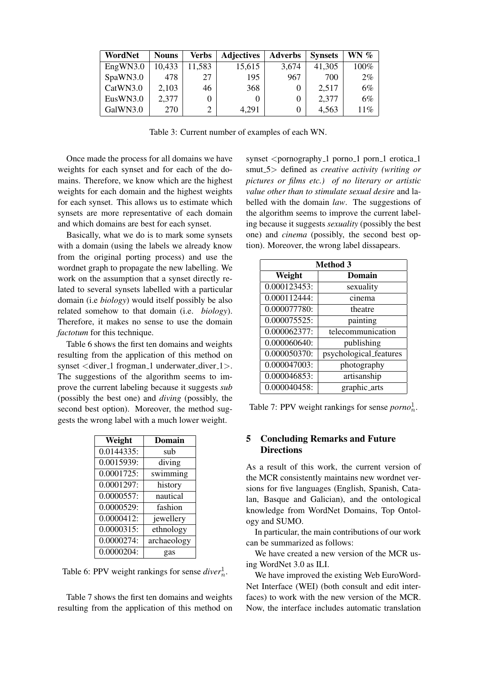| WordNet  | <b>Nouns</b> | Verbs  | <b>Adjectives</b> | <b>Adverbs</b> | <b>Synsets</b> | WN $%$ |
|----------|--------------|--------|-------------------|----------------|----------------|--------|
| EngWN3.0 | 10,433       | 11,583 | 15,615            | 3,674          | 41,305         | 100%   |
| SpaWN3.0 | 478          | 27     | 195               | 967            | 700            | $2\%$  |
| CatWN3.0 | 2,103        | 46     | 368               |                | 2,517          | 6%     |
| EusWN3.0 | 2,377        |        | 0                 |                | 2,377          | 6%     |
| GalWN3.0 | 270          |        | 4,291             |                | 4,563          | 11%    |

Table 3: Current number of examples of each WN.

Once made the process for all domains we have weights for each synset and for each of the domains. Therefore, we know which are the highest weights for each domain and the highest weights for each synset. This allows us to estimate which synsets are more representative of each domain and which domains are best for each synset.

Basically, what we do is to mark some synsets with a domain (using the labels we already know from the original porting process) and use the wordnet graph to propagate the new labelling. We work on the assumption that a synset directly related to several synsets labelled with a particular domain (i.e *biology*) would itself possibly be also related somehow to that domain (i.e. *biology*). Therefore, it makes no sense to use the domain *factotum* for this technique.

Table 6 shows the first ten domains and weights resulting from the application of this method on synset  $\langle$  diver 1 frogman 1 underwater diver 1  $>$ . The suggestions of the algorithm seems to improve the current labeling because it suggests *sub* (possibly the best one) and *diving* (possibly, the second best option). Moreover, the method suggests the wrong label with a much lower weight.

| Weight        | Domain      |
|---------------|-------------|
| 0.0144335:    | sub         |
| 0.0015939:    | diving      |
| 0.0001725:    | swimming    |
| 0.0001297:    | history     |
| 0.0000557:    | nautical    |
| 0.0000529:    | fashion     |
| 0.0000412:    | jewellery   |
| $0.0000315$ : | ethnology   |
| 0.0000274:    | archaeology |
| 0.0000204:    | gas         |

Table 6: PPV weight rankings for sense  $diver_n^1$ .

Table 7 shows the first ten domains and weights resulting from the application of this method on

synset  $\leq$  pornography 1 porno 1 porn 1 erotica 1 smut 5> defined as *creative activity (writing or pictures or films etc.) of no literary or artistic value other than to stimulate sexual desire* and labelled with the domain *law*. The suggestions of the algorithm seems to improve the current labeling because it suggests *sexuality* (possibly the best one) and *cinema* (possibly, the second best option). Moreover, the wrong label dissapears.

| <b>Method 3</b> |                        |  |  |
|-----------------|------------------------|--|--|
| Weight          | Domain                 |  |  |
| 0.000123453:    | sexuality              |  |  |
| 0.000112444:    | cinema                 |  |  |
| 0.000077780:    | theatre                |  |  |
| 0.000075525:    | painting               |  |  |
| 0.000062377:    | telecommunication      |  |  |
| 0.000060640:    | publishing             |  |  |
| 0.000050370:    | psychological_features |  |  |
| 0.000047003:    | photography            |  |  |
| 0.000046853:    | artisanship            |  |  |
| 0.000040458:    | graphic_arts           |  |  |

Table 7: PPV weight rankings for sense  $porno<sub>n</sub><sup>1</sup>$ .

### 5 Concluding Remarks and Future **Directions**

As a result of this work, the current version of the MCR consistently maintains new wordnet versions for five languages (English, Spanish, Catalan, Basque and Galician), and the ontological knowledge from WordNet Domains, Top Ontology and SUMO.

In particular, the main contributions of our work can be summarized as follows:

We have created a new version of the MCR using WordNet 3.0 as ILI.

We have improved the existing Web EuroWord-Net Interface (WEI) (both consult and edit interfaces) to work with the new version of the MCR. Now, the interface includes automatic translation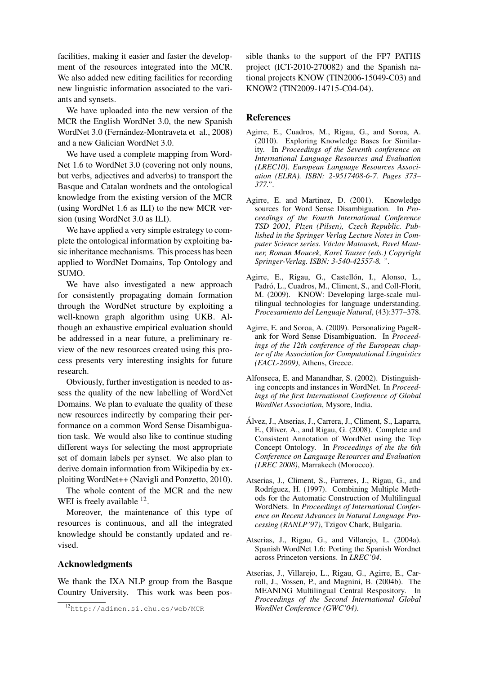facilities, making it easier and faster the development of the resources integrated into the MCR. We also added new editing facilities for recording new linguistic information associated to the variants and synsets.

We have uploaded into the new version of the MCR the English WordNet 3.0, the new Spanish WordNet 3.0 (Fernández-Montraveta et al., 2008) and a new Galician WordNet 3.0.

We have used a complete mapping from Word-Net 1.6 to WordNet 3.0 (covering not only nouns, but verbs, adjectives and adverbs) to transport the Basque and Catalan wordnets and the ontological knowledge from the existing version of the MCR (using WordNet 1.6 as ILI) to the new MCR version (using WordNet 3.0 as ILI).

We have applied a very simple estrategy to complete the ontological information by exploiting basic inheritance mechanisms. This process has been applied to WordNet Domains, Top Ontology and SUMO.

We have also investigated a new approach for consistently propagating domain formation through the WordNet structure by exploiting a well-known graph algorithm using UKB. Although an exhaustive empirical evaluation should be addressed in a near future, a preliminary review of the new resources created using this process presents very interesting insights for future research.

Obviously, further investigation is needed to assess the quality of the new labelling of WordNet Domains. We plan to evaluate the quality of these new resources indirectly by comparing their performance on a common Word Sense Disambiguation task. We would also like to continue studing different ways for selecting the most appropriate set of domain labels per synset. We also plan to derive domain information from Wikipedia by exploiting WordNet++ (Navigli and Ponzetto, 2010).

The whole content of the MCR and the new WEI is freely available  $^{12}$ .

Moreover, the maintenance of this type of resources is continuous, and all the integrated knowledge should be constantly updated and revised.

#### Acknowledgments

We thank the IXA NLP group from the Basque Country University. This work was been possible thanks to the support of the FP7 PATHS project (ICT-2010-270082) and the Spanish national projects KNOW (TIN2006-15049-C03) and KNOW2 (TIN2009-14715-C04-04).

#### **References**

- Agirre, E., Cuadros, M., Rigau, G., and Soroa, A. (2010). Exploring Knowledge Bases for Similarity. In *Proceedings of the Seventh conference on International Language Resources and Evaluation (LREC10). European Language Resources Association (ELRA). ISBN: 2-9517408-6-7. Pages 373– 377."*.
- Agirre, E. and Martinez, D. (2001). Knowledge sources for Word Sense Disambiguation. In *Proceedings of the Fourth International Conference TSD 2001, Plzen (Pilsen), Czech Republic. Published in the Springer Verlag Lecture Notes in Computer Science series. Vaclav Matousek, Pavel Maut- ´ ner, Roman Moucek, Karel Tauser (eds.) Copyright Springer-Verlag. ISBN: 3-540-42557-8. "*.
- Agirre, E., Rigau, G., Castellón, I., Alonso, L., Padró, L., Cuadros, M., Climent, S., and Coll-Florit, M. (2009). KNOW: Developing large-scale multilingual technologies for language understanding. *Procesamiento del Lenguaje Natural*, (43):377–378.
- Agirre, E. and Soroa, A. (2009). Personalizing PageRank for Word Sense Disambiguation. In *Proceedings of the 12th conference of the European chapter of the Association for Computational Linguistics (EACL-2009)*, Athens, Greece.
- Alfonseca, E. and Manandhar, S. (2002). Distinguishing concepts and instances in WordNet. In *Proceedings of the first International Conference of Global WordNet Association*, Mysore, India.
- Alvez, J., Atserias, J., Carrera, J., Climent, S., Laparra, ´ E., Oliver, A., and Rigau, G. (2008). Complete and Consistent Annotation of WordNet using the Top Concept Ontology. In *Proceedings of the the 6th Conference on Language Resources and Evaluation (LREC 2008)*, Marrakech (Morocco).
- Atserias, J., Climent, S., Farreres, J., Rigau, G., and Rodríguez, H. (1997). Combining Multiple Methods for the Automatic Construction of Multilingual WordNets. In *Proceedings of International Conference on Recent Advances in Natural Language Processing (RANLP'97)*, Tzigov Chark, Bulgaria.
- Atserias, J., Rigau, G., and Villarejo, L. (2004a). Spanish WordNet 1.6: Porting the Spanish Wordnet across Princeton versions. In *LREC'04*.
- Atserias, J., Villarejo, L., Rigau, G., Agirre, E., Carroll, J., Vossen, P., and Magnini, B. (2004b). The MEANING Multilingual Central Respository. In *Proceedings of the Second International Global WordNet Conference (GWC'04)*.

<sup>12</sup>http://adimen.si.ehu.es/web/MCR